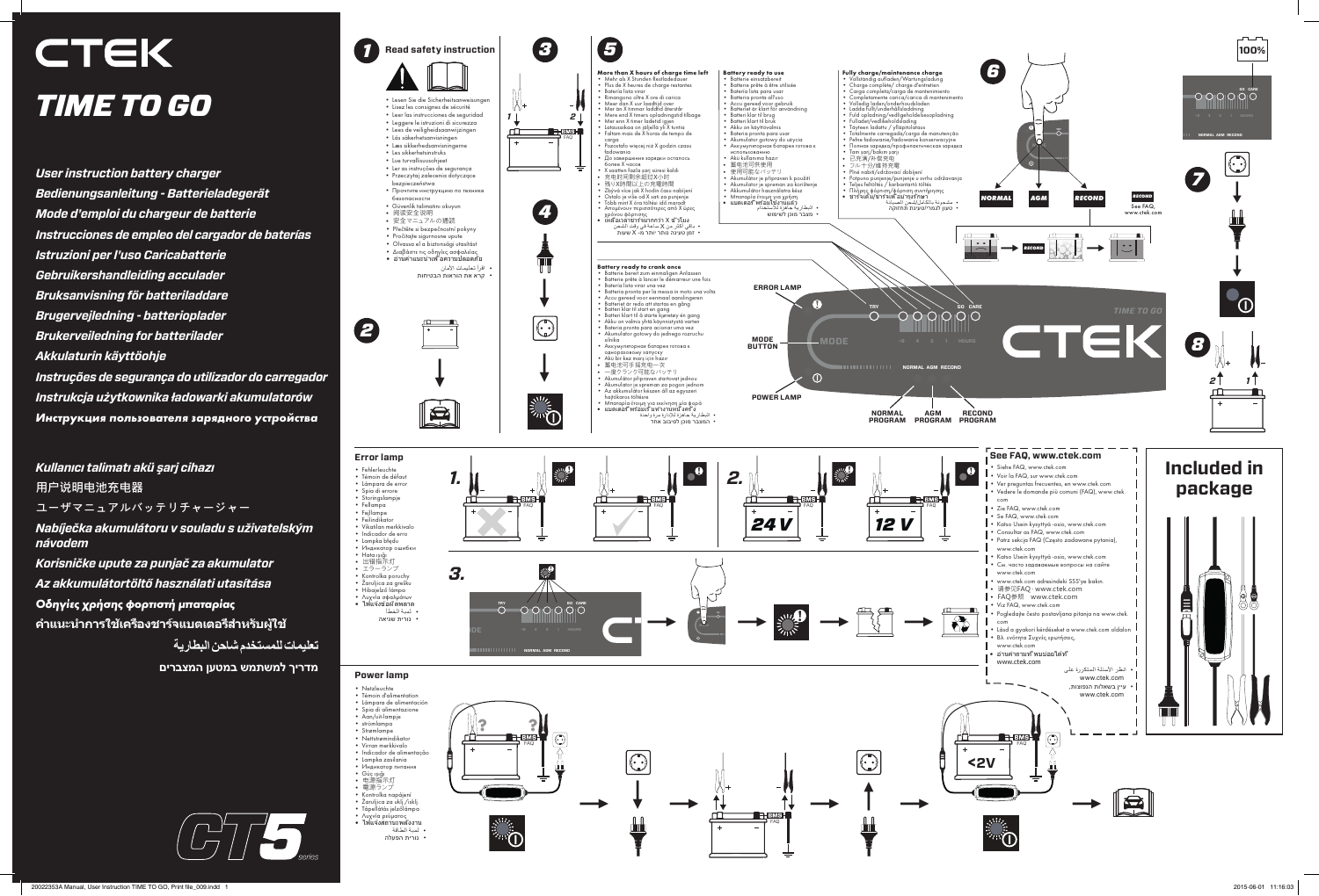*User instruction battery charger Bedienungsanleitung - Batterieladegerät Mode d'emploi du chargeur de batterie Instrucciones de empleo del cargador de baterías Istruzioni per l'uso Caricabatterie Gebruikershandleiding acculader Bruksanvisning för batteriladdare Brugervejledning - batterioplader Brukerveiledning for batterilader Akkulaturin käyttöohje Instruções de segurança do utilizador do carregador Instrukcja użytkownika ładowarki akumulatorów*

*Инструкция пользователя зарядного устройства*

*Kullanıcı talimatı akü şarj cihazı* **用户说明电池充电器 ユーザマニュアルバッテリチャージャー** *Nabíječka akumulátoru v souladu s uživatelským návodem Korisničke upute za punjač za akumulator Az akkumulátortöltő használati utasítása Οδηγίες χρήσης φορτιστή μπαταρίας* **คำาแนะนำาการใช้เครื่องชาร์จแบตเตอรี่สำาหรับผู้ใช้**

**تعلیمات للمستخدم شاحن البطاریة**

**מדריך למשתמש במטען המצברים**

# **CTEK** *TIME TO GO*